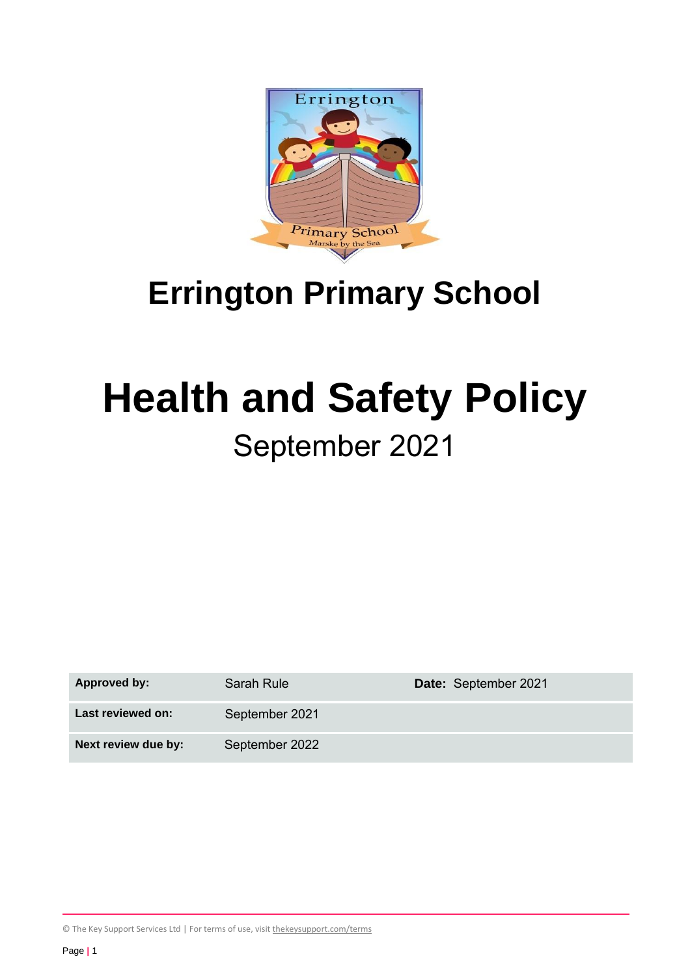

# **Errington Primary School**

# **Health and Safety Policy**

# September 2021

| <b>Approved by:</b> | Sarah Rule     | Date: September 2021 |
|---------------------|----------------|----------------------|
| Last reviewed on:   | September 2021 |                      |
| Next review due by: | September 2022 |                      |

© The Key Support Services Ltd | For terms of use, visit *[thekeysupport.com/terms](https://thekeysupport.com/terms-of-use)*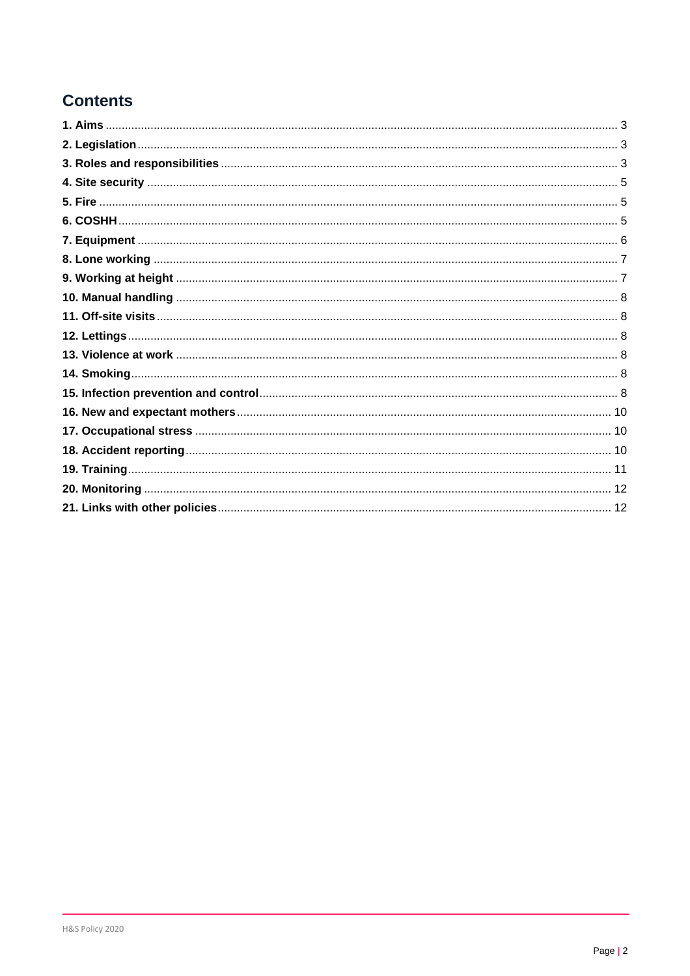# **Contents**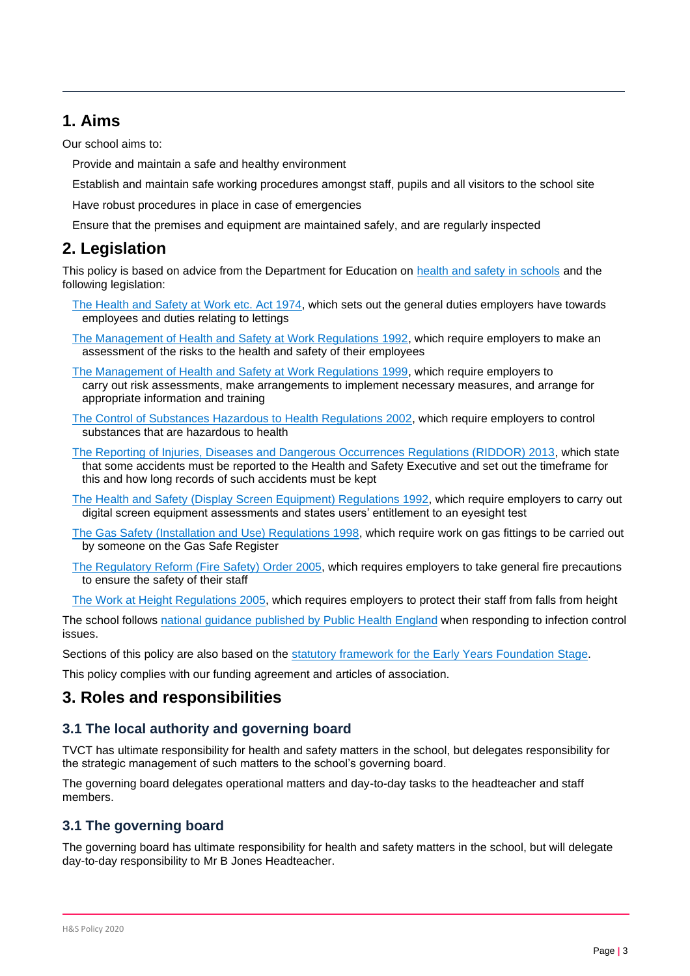# <span id="page-2-0"></span>**1. Aims**

Our school aims to:

Provide and maintain a safe and healthy environment

Establish and maintain safe working procedures amongst staff, pupils and all visitors to the school site

Have robust procedures in place in case of emergencies

Ensure that the premises and equipment are maintained safely, and are regularly inspected

# <span id="page-2-1"></span>**2. Legislation**

This policy is based on advice from the Department for Education on [health and safety in schools](https://www.gov.uk/government/publications/health-and-safety-advice-for-schools) and the following legislation:

- [The Health and Safety at Work etc. Act 1974,](http://www.legislation.gov.uk/ukpga/1974/37) which sets out the general duties employers have towards employees and duties relating to lettings
- [The Management of Health and Safety at Work Regulations 1992,](http://www.legislation.gov.uk/uksi/1992/2051/regulation/3/made) which require employers to make an assessment of the risks to the health and safety of their employees
- [The Management of Health and Safety at Work Regulations 1999,](http://www.legislation.gov.uk/uksi/1999/3242/contents/made) which require employers to carry out risk assessments, make arrangements to implement necessary measures, and arrange for appropriate information and training
- [The Control of Substances Hazardous to Health Regulations 2002,](http://www.legislation.gov.uk/uksi/2002/2677/contents/made) which require employers to control substances that are hazardous to health
- [The Reporting of Injuries, Diseases and Dangerous Occurrences Regulations \(RIDDOR\) 2013,](http://www.legislation.gov.uk/uksi/2013/1471/schedule/1/paragraph/1/made) which state that some accidents must be reported to the Health and Safety Executive and set out the timeframe for this and how long records of such accidents must be kept
- [The Health and Safety \(Display Screen Equipment\) Regulations 1992,](http://www.legislation.gov.uk/uksi/1992/2792/contents/made) which require employers to carry out digital screen equipment assessments and states users' entitlement to an eyesight test
- [The Gas Safety \(Installation and Use\) Regulations 1998,](http://www.legislation.gov.uk/uksi/1998/2451/regulation/4/made) which require work on gas fittings to be carried out by someone on the Gas Safe Register
- [The Regulatory Reform \(Fire Safety\) Order 2005,](http://www.legislation.gov.uk/uksi/2005/1541/part/2/made) which requires employers to take general fire precautions to ensure the safety of their staff
- [The Work at Height Regulations 2005,](http://www.legislation.gov.uk/uksi/2005/735/contents/made) which requires employers to protect their staff from falls from height

The school follows [national guidance published by Public Health England](https://www.gov.uk/government/publications/health-protection-in-schools-and-other-childcare-facilities/chapter-9-managing-specific-infectious-diseases) when responding to infection control issues.

Sections of this policy are also based on the [statutory framework for the Early Years Foundation](https://www.gov.uk/government/publications/early-years-foundation-stage-framework--2) Stage.

This policy complies with our funding agreement and articles of association.

# <span id="page-2-2"></span>**3. Roles and responsibilities**

# **3.1 The local authority and governing board**

TVCT has ultimate responsibility for health and safety matters in the school, but delegates responsibility for the strategic management of such matters to the school's governing board.

The governing board delegates operational matters and day-to-day tasks to the headteacher and staff members.

# **3.1 The governing board**

The governing board has ultimate responsibility for health and safety matters in the school, but will delegate day-to-day responsibility to Mr B Jones Headteacher.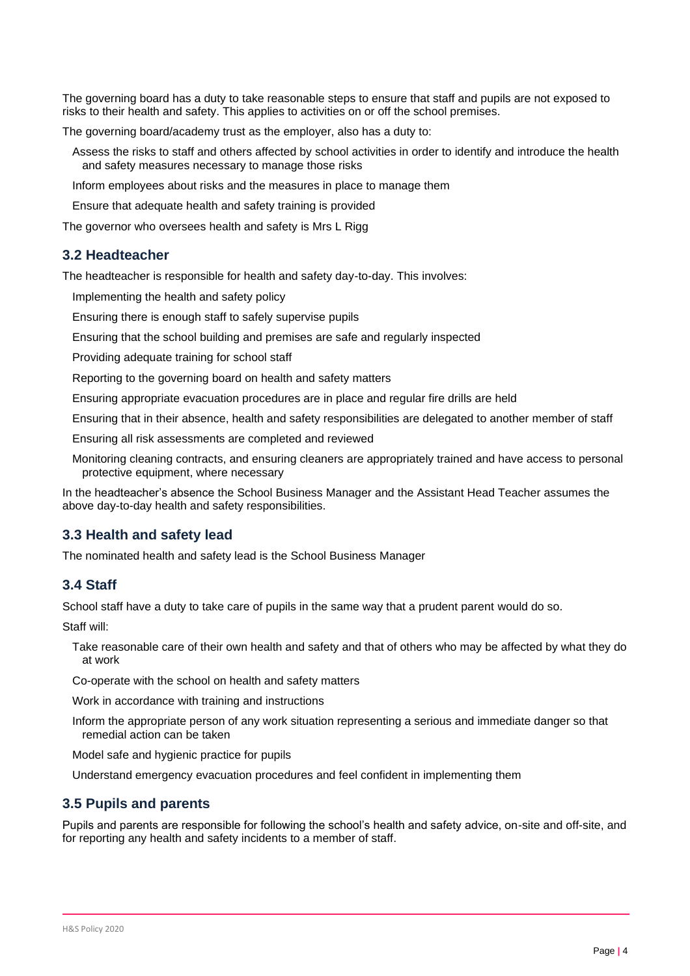The governing board has a duty to take reasonable steps to ensure that staff and pupils are not exposed to risks to their health and safety. This applies to activities on or off the school premises.

The governing board/academy trust as the employer, also has a duty to:

Assess the risks to staff and others affected by school activities in order to identify and introduce the health and safety measures necessary to manage those risks

Inform employees about risks and the measures in place to manage them

Ensure that adequate health and safety training is provided

The governor who oversees health and safety is Mrs L Rigg

#### **3.2 Headteacher**

The headteacher is responsible for health and safety day-to-day. This involves:

Implementing the health and safety policy

Ensuring there is enough staff to safely supervise pupils

Ensuring that the school building and premises are safe and regularly inspected

Providing adequate training for school staff

Reporting to the governing board on health and safety matters

Ensuring appropriate evacuation procedures are in place and regular fire drills are held

Ensuring that in their absence, health and safety responsibilities are delegated to another member of staff

Ensuring all risk assessments are completed and reviewed

Monitoring cleaning contracts, and ensuring cleaners are appropriately trained and have access to personal protective equipment, where necessary

In the headteacher's absence the School Business Manager and the Assistant Head Teacher assumes the above day-to-day health and safety responsibilities.

#### **3.3 Health and safety lead**

The nominated health and safety lead is the School Business Manager

#### **3.4 Staff**

School staff have a duty to take care of pupils in the same way that a prudent parent would do so.

Staff will:

Take reasonable care of their own health and safety and that of others who may be affected by what they do at work

Co-operate with the school on health and safety matters

Work in accordance with training and instructions

Inform the appropriate person of any work situation representing a serious and immediate danger so that remedial action can be taken

Model safe and hygienic practice for pupils

Understand emergency evacuation procedures and feel confident in implementing them

#### **3.5 Pupils and parents**

Pupils and parents are responsible for following the school's health and safety advice, on-site and off-site, and for reporting any health and safety incidents to a member of staff.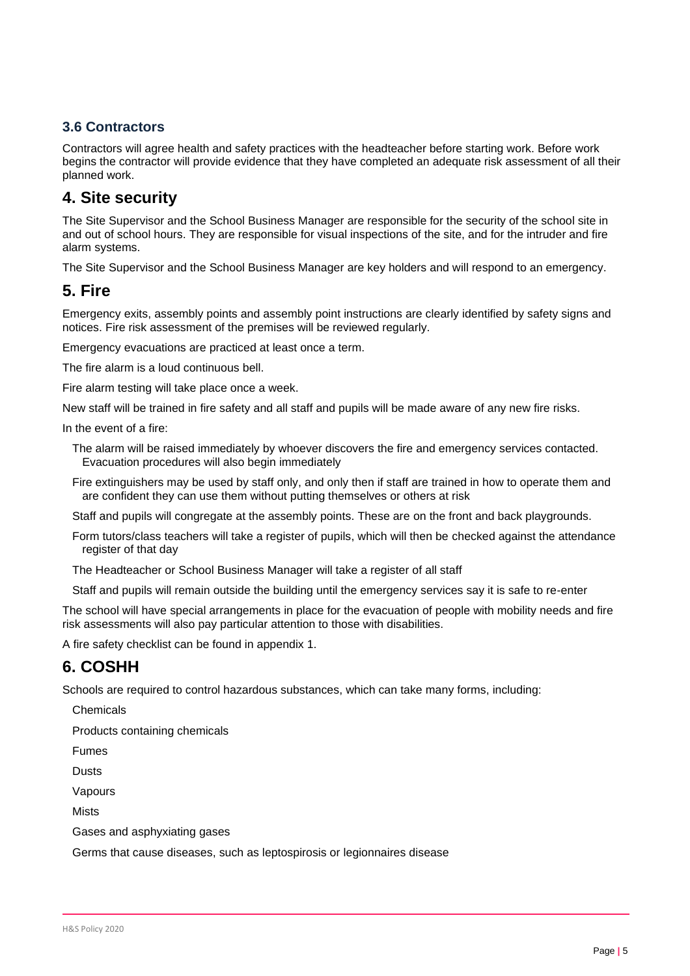## **3.6 Contractors**

Contractors will agree health and safety practices with the headteacher before starting work. Before work begins the contractor will provide evidence that they have completed an adequate risk assessment of all their planned work.

# <span id="page-4-0"></span>**4. Site security**

The Site Supervisor and the School Business Manager are responsible for the security of the school site in and out of school hours. They are responsible for visual inspections of the site, and for the intruder and fire alarm systems.

The Site Supervisor and the School Business Manager are key holders and will respond to an emergency.

# <span id="page-4-1"></span>**5. Fire**

Emergency exits, assembly points and assembly point instructions are clearly identified by safety signs and notices. Fire risk assessment of the premises will be reviewed regularly.

Emergency evacuations are practiced at least once a term.

The fire alarm is a loud continuous bell.

Fire alarm testing will take place once a week.

New staff will be trained in fire safety and all staff and pupils will be made aware of any new fire risks.

In the event of a fire:

The alarm will be raised immediately by whoever discovers the fire and emergency services contacted. Evacuation procedures will also begin immediately

Fire extinguishers may be used by staff only, and only then if staff are trained in how to operate them and are confident they can use them without putting themselves or others at risk

Staff and pupils will congregate at the assembly points. These are on the front and back playgrounds.

Form tutors/class teachers will take a register of pupils, which will then be checked against the attendance register of that day

The Headteacher or School Business Manager will take a register of all staff

Staff and pupils will remain outside the building until the emergency services say it is safe to re-enter

The school will have special arrangements in place for the evacuation of people with mobility needs and fire risk assessments will also pay particular attention to those with disabilities.

A fire safety checklist can be found in appendix 1.

# <span id="page-4-2"></span>**6. COSHH**

Schools are required to control hazardous substances, which can take many forms, including:

**Chemicals** 

Products containing chemicals

Fumes

**Dusts** 

Vapours

**Mists** 

Gases and asphyxiating gases

Germs that cause diseases, such as leptospirosis or legionnaires disease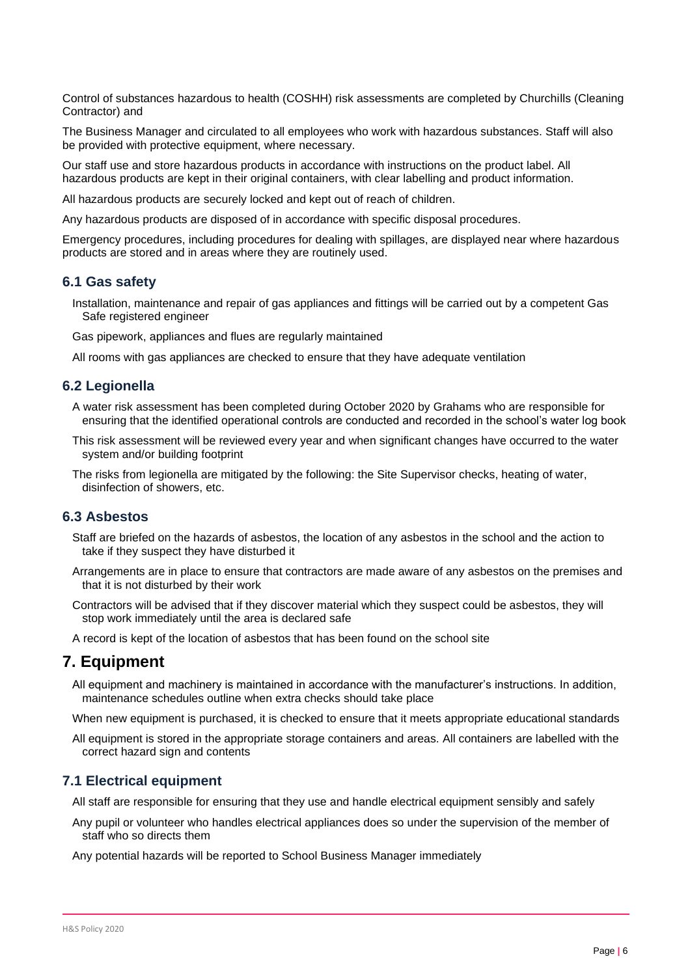Control of substances hazardous to health (COSHH) risk assessments are completed by Churchills (Cleaning Contractor) and

The Business Manager and circulated to all employees who work with hazardous substances. Staff will also be provided with protective equipment, where necessary.

Our staff use and store hazardous products in accordance with instructions on the product label. All hazardous products are kept in their original containers, with clear labelling and product information.

All hazardous products are securely locked and kept out of reach of children.

Any hazardous products are disposed of in accordance with specific disposal procedures.

Emergency procedures, including procedures for dealing with spillages, are displayed near where hazardous products are stored and in areas where they are routinely used.

#### **6.1 Gas safety**

Installation, maintenance and repair of gas appliances and fittings will be carried out by a competent Gas Safe registered engineer

Gas pipework, appliances and flues are regularly maintained

All rooms with gas appliances are checked to ensure that they have adequate ventilation

#### **6.2 Legionella**

- A water risk assessment has been completed during October 2020 by Grahams who are responsible for ensuring that the identified operational controls are conducted and recorded in the school's water log book
- This risk assessment will be reviewed every year and when significant changes have occurred to the water system and/or building footprint
- The risks from legionella are mitigated by the following: the Site Supervisor checks, heating of water, disinfection of showers, etc.

#### **6.3 Asbestos**

- Staff are briefed on the hazards of asbestos, the location of any asbestos in the school and the action to take if they suspect they have disturbed it
- Arrangements are in place to ensure that contractors are made aware of any asbestos on the premises and that it is not disturbed by their work
- Contractors will be advised that if they discover material which they suspect could be asbestos, they will stop work immediately until the area is declared safe

A record is kept of the location of asbestos that has been found on the school site

#### <span id="page-5-0"></span>**7. Equipment**

- All equipment and machinery is maintained in accordance with the manufacturer's instructions. In addition, maintenance schedules outline when extra checks should take place
- When new equipment is purchased, it is checked to ensure that it meets appropriate educational standards
- All equipment is stored in the appropriate storage containers and areas. All containers are labelled with the correct hazard sign and contents

#### **7.1 Electrical equipment**

All staff are responsible for ensuring that they use and handle electrical equipment sensibly and safely

Any pupil or volunteer who handles electrical appliances does so under the supervision of the member of staff who so directs them

Any potential hazards will be reported to School Business Manager immediately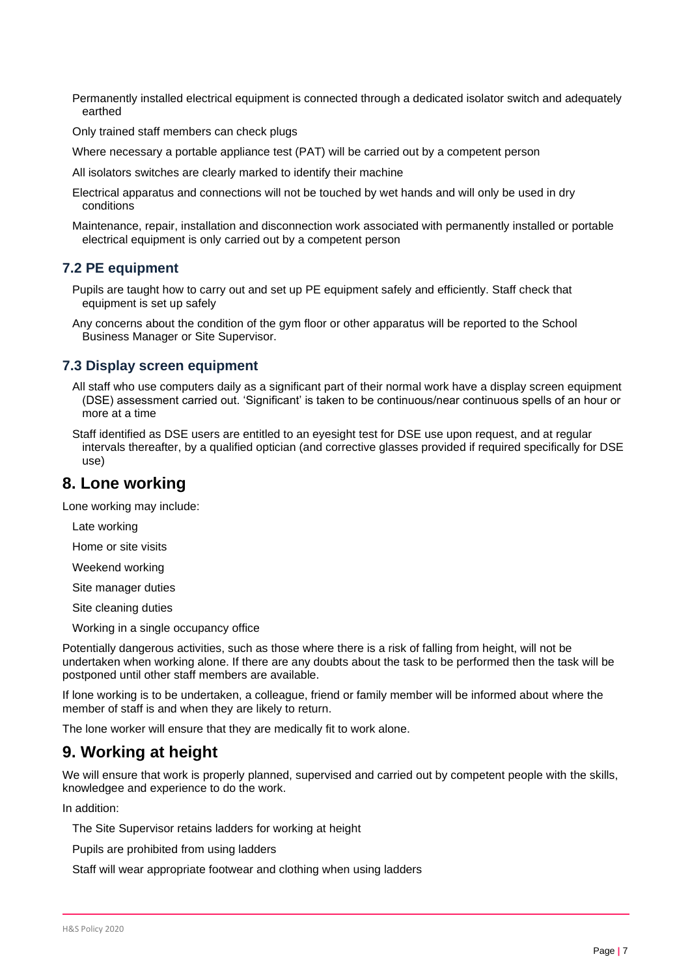Permanently installed electrical equipment is connected through a dedicated isolator switch and adequately earthed

Only trained staff members can check plugs

Where necessary a portable appliance test (PAT) will be carried out by a competent person

All isolators switches are clearly marked to identify their machine

- Electrical apparatus and connections will not be touched by wet hands and will only be used in dry conditions
- Maintenance, repair, installation and disconnection work associated with permanently installed or portable electrical equipment is only carried out by a competent person

#### **7.2 PE equipment**

- Pupils are taught how to carry out and set up PE equipment safely and efficiently. Staff check that equipment is set up safely
- Any concerns about the condition of the gym floor or other apparatus will be reported to the School Business Manager or Site Supervisor.

#### **7.3 Display screen equipment**

- All staff who use computers daily as a significant part of their normal work have a display screen equipment (DSE) assessment carried out. 'Significant' is taken to be continuous/near continuous spells of an hour or more at a time
- Staff identified as DSE users are entitled to an eyesight test for DSE use upon request, and at regular intervals thereafter, by a qualified optician (and corrective glasses provided if required specifically for DSE use)

# <span id="page-6-0"></span>**8. Lone working**

Lone working may include:

Late working

Home or site visits

Weekend working

Site manager duties

Site cleaning duties

Working in a single occupancy office

Potentially dangerous activities, such as those where there is a risk of falling from height, will not be undertaken when working alone. If there are any doubts about the task to be performed then the task will be postponed until other staff members are available.

If lone working is to be undertaken, a colleague, friend or family member will be informed about where the member of staff is and when they are likely to return.

The lone worker will ensure that they are medically fit to work alone.

# <span id="page-6-1"></span>**9. Working at height**

We will ensure that work is properly planned, supervised and carried out by competent people with the skills, knowledgee and experience to do the work.

In addition:

The Site Supervisor retains ladders for working at height

Pupils are prohibited from using ladders

Staff will wear appropriate footwear and clothing when using ladders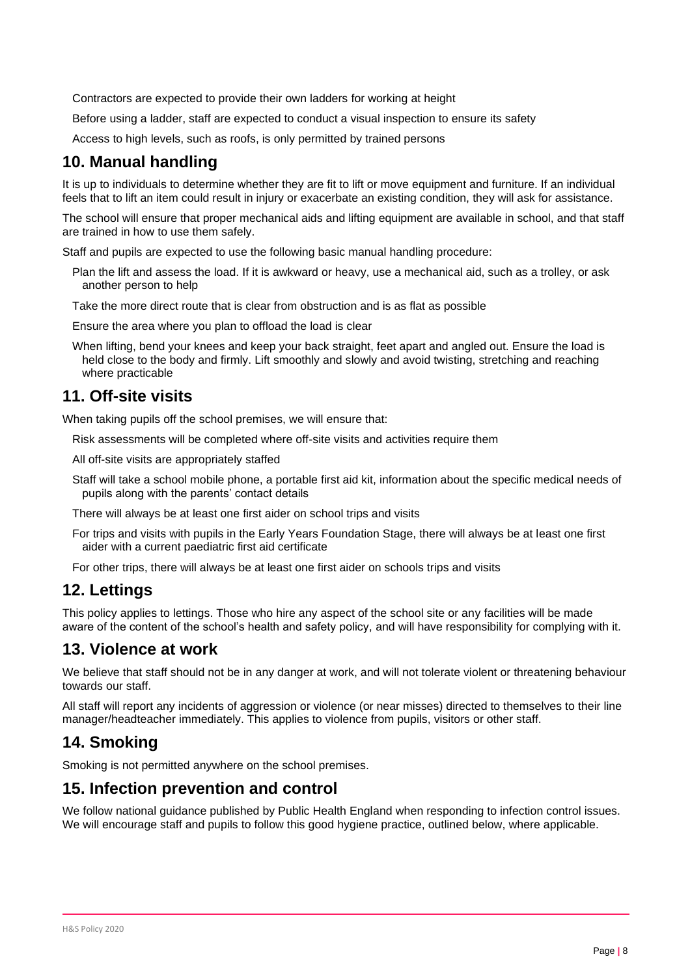Contractors are expected to provide their own ladders for working at height

Before using a ladder, staff are expected to conduct a visual inspection to ensure its safety

Access to high levels, such as roofs, is only permitted by trained persons

# <span id="page-7-0"></span>**10. Manual handling**

It is up to individuals to determine whether they are fit to lift or move equipment and furniture. If an individual feels that to lift an item could result in injury or exacerbate an existing condition, they will ask for assistance.

The school will ensure that proper mechanical aids and lifting equipment are available in school, and that staff are trained in how to use them safely.

Staff and pupils are expected to use the following basic manual handling procedure:

Plan the lift and assess the load. If it is awkward or heavy, use a mechanical aid, such as a trolley, or ask another person to help

Take the more direct route that is clear from obstruction and is as flat as possible

Ensure the area where you plan to offload the load is clear

When lifting, bend your knees and keep your back straight, feet apart and angled out. Ensure the load is held close to the body and firmly. Lift smoothly and slowly and avoid twisting, stretching and reaching where practicable

# <span id="page-7-1"></span>**11. Off-site visits**

When taking pupils off the school premises, we will ensure that:

Risk assessments will be completed where off-site visits and activities require them

All off-site visits are appropriately staffed

Staff will take a school mobile phone, a portable first aid kit, information about the specific medical needs of pupils along with the parents' contact details

There will always be at least one first aider on school trips and visits

For trips and visits with pupils in the Early Years Foundation Stage, there will always be at least one first aider with a current paediatric first aid certificate

For other trips, there will always be at least one first aider on schools trips and visits

# <span id="page-7-2"></span>**12. Lettings**

This policy applies to lettings. Those who hire any aspect of the school site or any facilities will be made aware of the content of the school's health and safety policy, and will have responsibility for complying with it.

# <span id="page-7-3"></span>**13. Violence at work**

We believe that staff should not be in any danger at work, and will not tolerate violent or threatening behaviour towards our staff.

All staff will report any incidents of aggression or violence (or near misses) directed to themselves to their line manager/headteacher immediately. This applies to violence from pupils, visitors or other staff.

# <span id="page-7-4"></span>**14. Smoking**

Smoking is not permitted anywhere on the school premises.

# <span id="page-7-5"></span>**15. Infection prevention and control**

We follow national guidance published by Public Health England when responding to infection control issues. We will encourage staff and pupils to follow this good hygiene practice, outlined below, where applicable.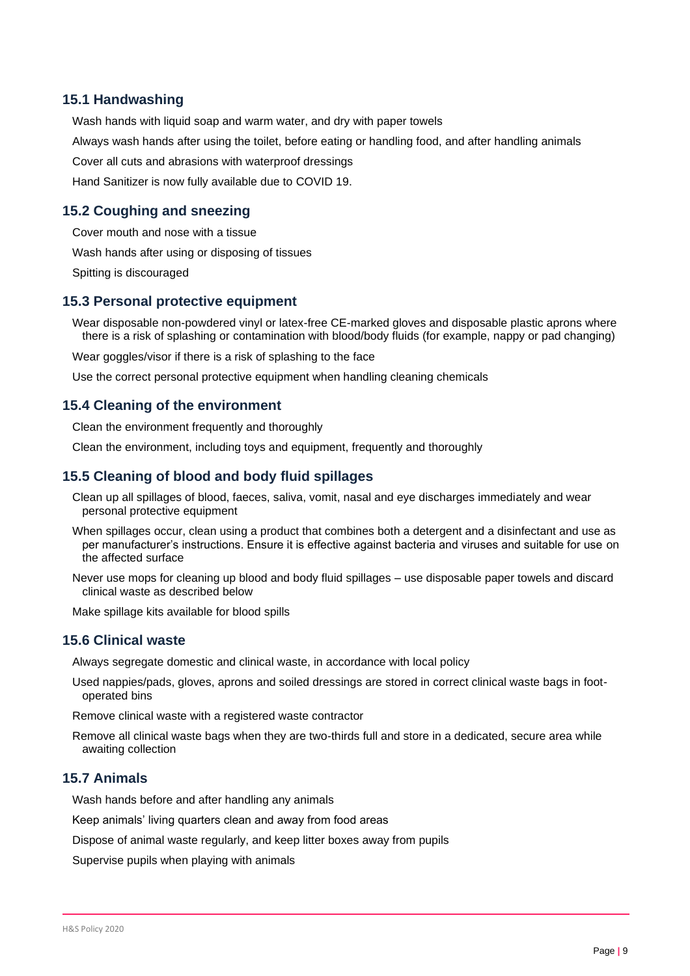#### **15.1 Handwashing**

Wash hands with liquid soap and warm water, and dry with paper towels Always wash hands after using the toilet, before eating or handling food, and after handling animals Cover all cuts and abrasions with waterproof dressings Hand Sanitizer is now fully available due to COVID 19.

#### **15.2 Coughing and sneezing**

Cover mouth and nose with a tissue

Wash hands after using or disposing of tissues

Spitting is discouraged

#### **15.3 Personal protective equipment**

Wear disposable non-powdered vinyl or latex-free CE-marked gloves and disposable plastic aprons where there is a risk of splashing or contamination with blood/body fluids (for example, nappy or pad changing)

Wear goggles/visor if there is a risk of splashing to the face

Use the correct personal protective equipment when handling cleaning chemicals

#### **15.4 Cleaning of the environment**

Clean the environment frequently and thoroughly

Clean the environment, including toys and equipment, frequently and thoroughly

#### **15.5 Cleaning of blood and body fluid spillages**

Clean up all spillages of blood, faeces, saliva, vomit, nasal and eye discharges immediately and wear personal protective equipment

When spillages occur, clean using a product that combines both a detergent and a disinfectant and use as per manufacturer's instructions. Ensure it is effective against bacteria and viruses and suitable for use on the affected surface

Never use mops for cleaning up blood and body fluid spillages – use disposable paper towels and discard clinical waste as described below

Make spillage kits available for blood spills

#### **15.6 Clinical waste**

Always segregate domestic and clinical waste, in accordance with local policy

Used nappies/pads, gloves, aprons and soiled dressings are stored in correct clinical waste bags in footoperated bins

Remove clinical waste with a registered waste contractor

Remove all clinical waste bags when they are two-thirds full and store in a dedicated, secure area while awaiting collection

#### **15.7 Animals**

Wash hands before and after handling any animals

Keep animals' living quarters clean and away from food areas

Dispose of animal waste regularly, and keep litter boxes away from pupils

Supervise pupils when playing with animals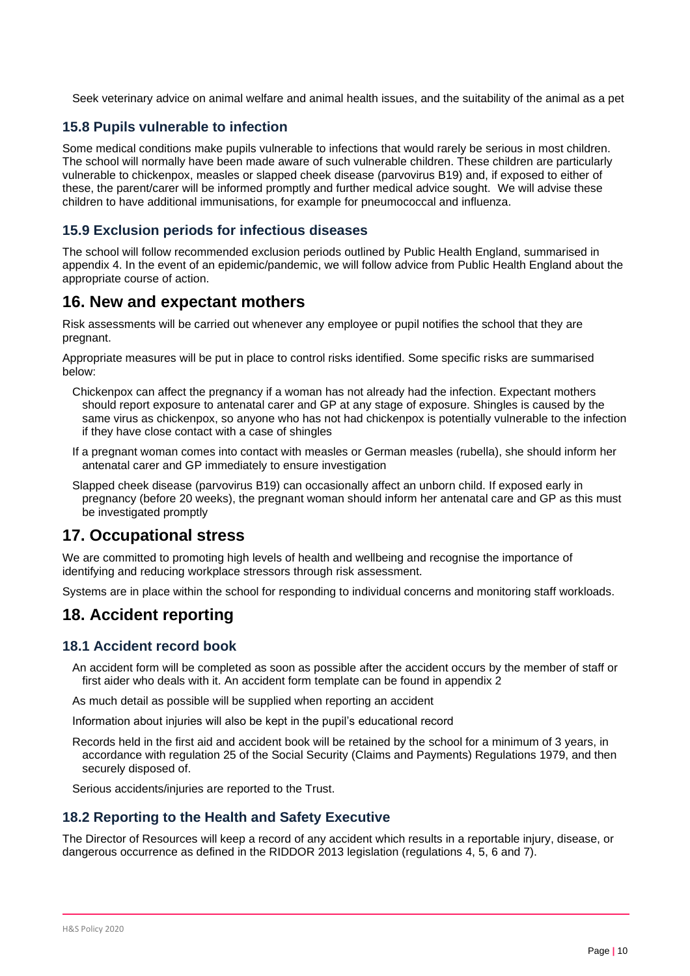Seek veterinary advice on animal welfare and animal health issues, and the suitability of the animal as a pet

#### **15.8 Pupils vulnerable to infection**

Some medical conditions make pupils vulnerable to infections that would rarely be serious in most children. The school will normally have been made aware of such vulnerable children. These children are particularly vulnerable to chickenpox, measles or slapped cheek disease (parvovirus B19) and, if exposed to either of these, the parent/carer will be informed promptly and further medical advice sought. We will advise these children to have additional immunisations, for example for pneumococcal and influenza.

#### **15.9 Exclusion periods for infectious diseases**

The school will follow recommended exclusion periods outlined by Public Health England, summarised in appendix 4. In the event of an epidemic/pandemic, we will follow advice from Public Health England about the appropriate course of action.

# <span id="page-9-0"></span>**16. New and expectant mothers**

Risk assessments will be carried out whenever any employee or pupil notifies the school that they are pregnant.

Appropriate measures will be put in place to control risks identified. Some specific risks are summarised below:

- Chickenpox can affect the pregnancy if a woman has not already had the infection. Expectant mothers should report exposure to antenatal carer and GP at any stage of exposure. Shingles is caused by the same virus as chickenpox, so anyone who has not had chickenpox is potentially vulnerable to the infection if they have close contact with a case of shingles
- If a pregnant woman comes into contact with measles or German measles (rubella), she should inform her antenatal carer and GP immediately to ensure investigation
- Slapped cheek disease (parvovirus B19) can occasionally affect an unborn child. If exposed early in pregnancy (before 20 weeks), the pregnant woman should inform her antenatal care and GP as this must be investigated promptly

### <span id="page-9-1"></span>**17. Occupational stress**

We are committed to promoting high levels of health and wellbeing and recognise the importance of identifying and reducing workplace stressors through risk assessment.

Systems are in place within the school for responding to individual concerns and monitoring staff workloads.

# <span id="page-9-2"></span>**18. Accident reporting**

#### **18.1 Accident record book**

An accident form will be completed as soon as possible after the accident occurs by the member of staff or first aider who deals with it. An accident form template can be found in appendix 2

As much detail as possible will be supplied when reporting an accident

Information about injuries will also be kept in the pupil's educational record

Records held in the first aid and accident book will be retained by the school for a minimum of 3 years, in accordance with regulation 25 of the Social Security (Claims and Payments) Regulations 1979, and then securely disposed of.

Serious accidents/injuries are reported to the Trust.

### **18.2 Reporting to the Health and Safety Executive**

The Director of Resources will keep a record of any accident which results in a reportable injury, disease, or dangerous occurrence as defined in the RIDDOR 2013 legislation (regulations 4, 5, 6 and 7).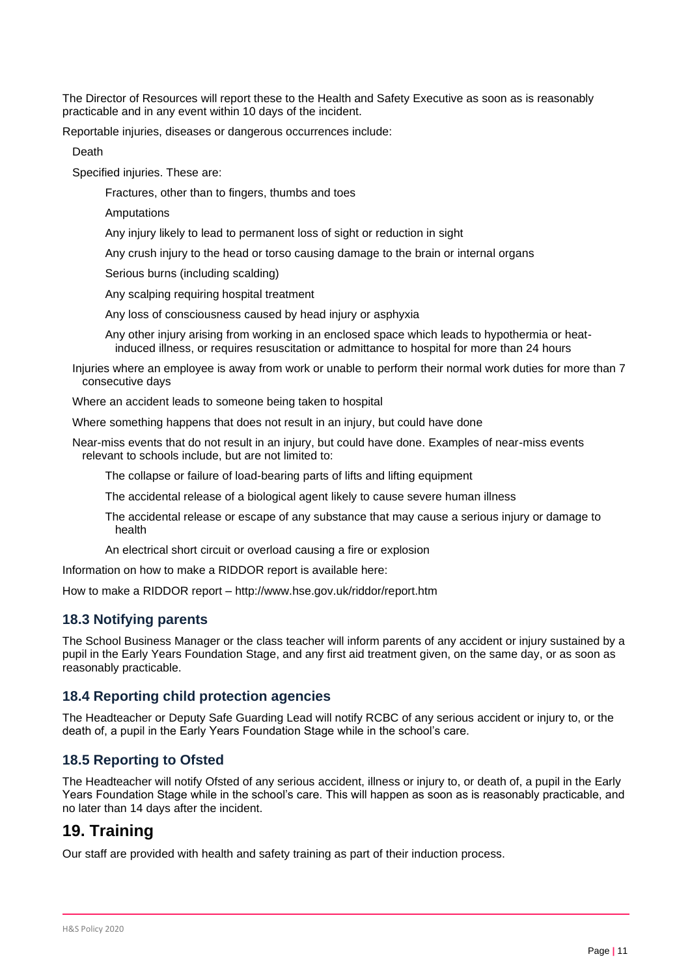The Director of Resources will report these to the Health and Safety Executive as soon as is reasonably practicable and in any event within 10 days of the incident.

Reportable injuries, diseases or dangerous occurrences include:

Death

Specified injuries. These are:

Fractures, other than to fingers, thumbs and toes

Amputations

Any injury likely to lead to permanent loss of sight or reduction in sight

Any crush injury to the head or torso causing damage to the brain or internal organs

Serious burns (including scalding)

Any scalping requiring hospital treatment

Any loss of consciousness caused by head injury or asphyxia

Any other injury arising from working in an enclosed space which leads to hypothermia or heatinduced illness, or requires resuscitation or admittance to hospital for more than 24 hours

Injuries where an employee is away from work or unable to perform their normal work duties for more than 7 consecutive days

Where an accident leads to someone being taken to hospital

Where something happens that does not result in an injury, but could have done

Near-miss events that do not result in an injury, but could have done. Examples of near-miss events relevant to schools include, but are not limited to:

The collapse or failure of load-bearing parts of lifts and lifting equipment

The accidental release of a biological agent likely to cause severe human illness

The accidental release or escape of any substance that may cause a serious injury or damage to health

An electrical short circuit or overload causing a fire or explosion

Information on how to make a RIDDOR report is available here:

How to make a RIDDOR report – http://www.hse.gov.uk/riddor/report.htm

#### **18.3 Notifying parents**

The School Business Manager or the class teacher will inform parents of any accident or injury sustained by a pupil in the Early Years Foundation Stage, and any first aid treatment given, on the same day, or as soon as reasonably practicable.

#### **18.4 Reporting child protection agencies**

The Headteacher or Deputy Safe Guarding Lead will notify RCBC of any serious accident or injury to, or the death of, a pupil in the Early Years Foundation Stage while in the school's care.

#### **18.5 Reporting to Ofsted**

The Headteacher will notify Ofsted of any serious accident, illness or injury to, or death of, a pupil in the Early Years Foundation Stage while in the school's care. This will happen as soon as is reasonably practicable, and no later than 14 days after the incident.

# <span id="page-10-0"></span>**19. Training**

Our staff are provided with health and safety training as part of their induction process.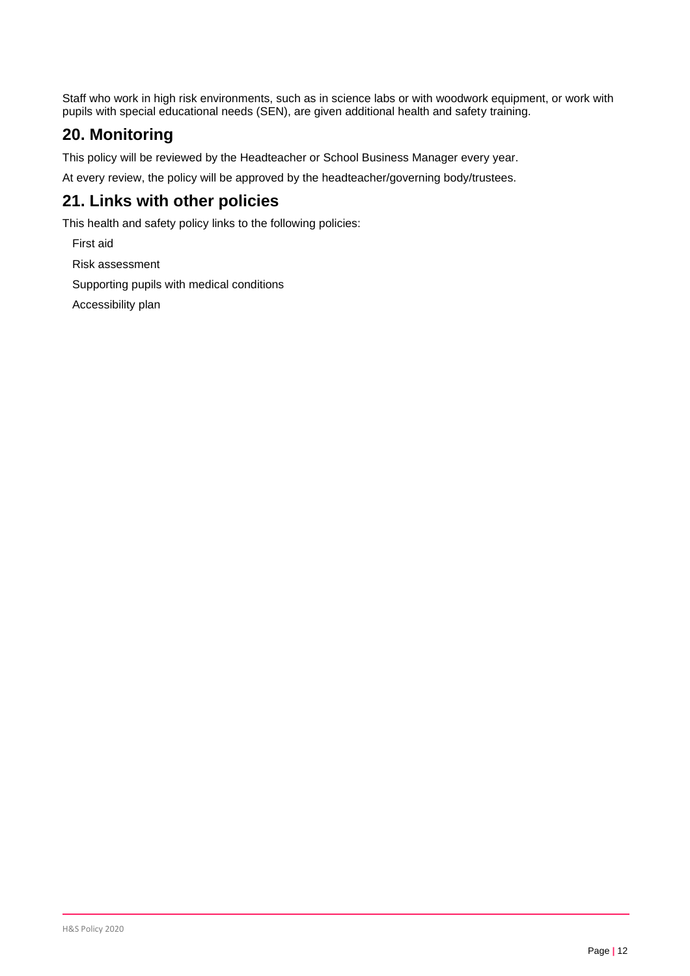Staff who work in high risk environments, such as in science labs or with woodwork equipment, or work with pupils with special educational needs (SEN), are given additional health and safety training.

# <span id="page-11-0"></span>**20. Monitoring**

This policy will be reviewed by the Headteacher or School Business Manager every year.

At every review, the policy will be approved by the headteacher/governing body/trustees.

# <span id="page-11-1"></span>**21. Links with other policies**

This health and safety policy links to the following policies:

First aid

Risk assessment

Supporting pupils with medical conditions

Accessibility plan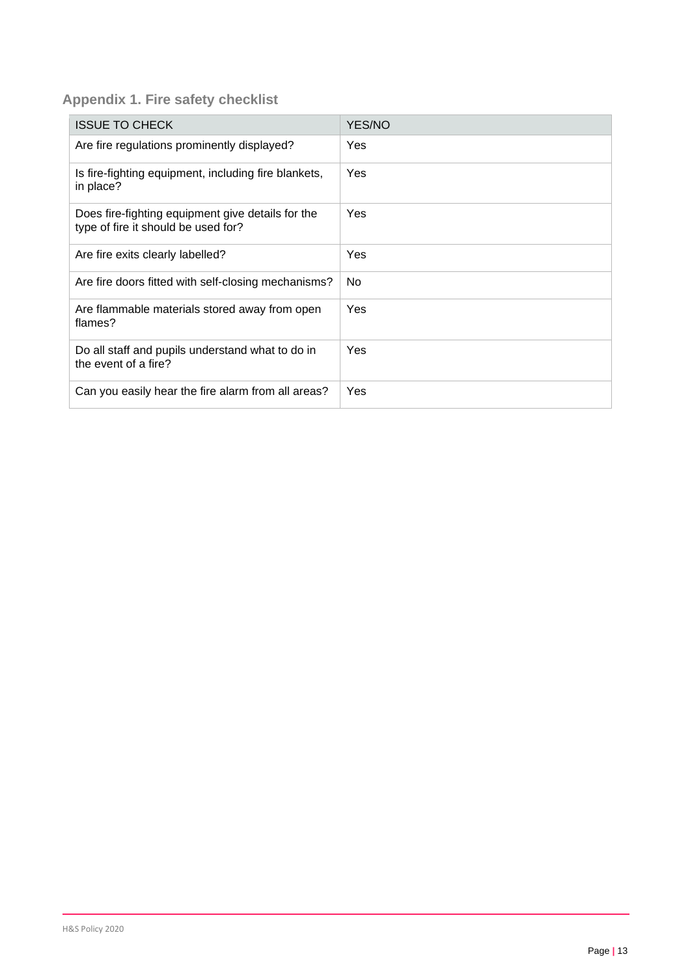# **Appendix 1. Fire safety checklist**

| <b>ISSUE TO CHECK</b>                                                                    | YES/NO     |
|------------------------------------------------------------------------------------------|------------|
| Are fire regulations prominently displayed?                                              | <b>Yes</b> |
| Is fire-fighting equipment, including fire blankets,<br>in place?                        | Yes        |
| Does fire-fighting equipment give details for the<br>type of fire it should be used for? | Yes        |
| Are fire exits clearly labelled?                                                         | Yes        |
| Are fire doors fitted with self-closing mechanisms?                                      | <b>No</b>  |
| Are flammable materials stored away from open<br>flames?                                 | Yes        |
| Do all staff and pupils understand what to do in<br>the event of a fire?                 | Yes        |
| Can you easily hear the fire alarm from all areas?                                       | Yes        |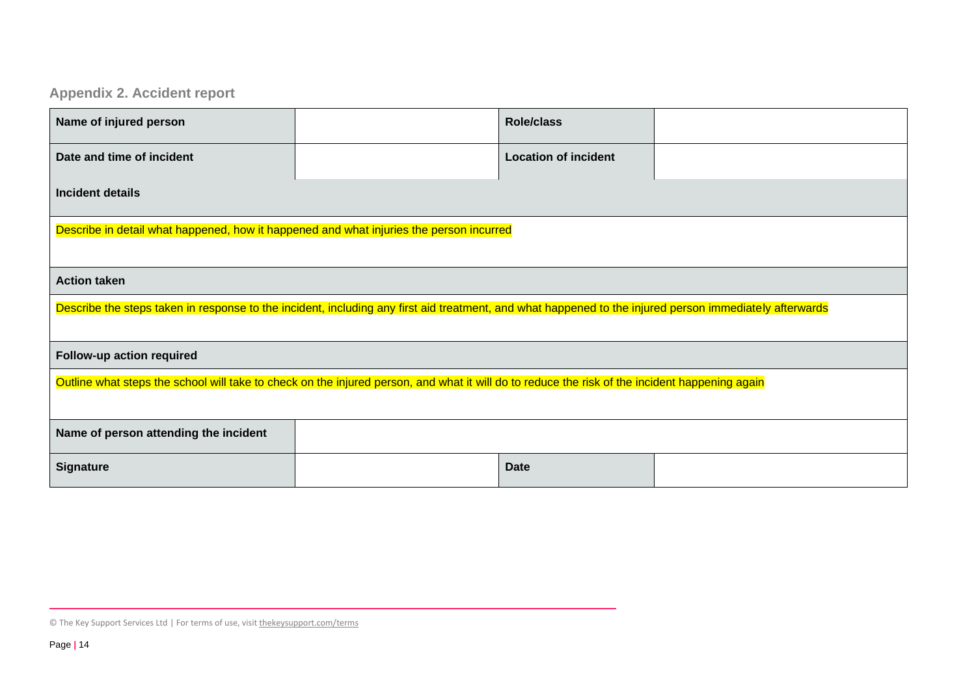# **Appendix 2. Accident report**

| Name of injured person                                                                                                                                  |  | <b>Role/class</b>           |  |  |
|---------------------------------------------------------------------------------------------------------------------------------------------------------|--|-----------------------------|--|--|
| Date and time of incident                                                                                                                               |  | <b>Location of incident</b> |  |  |
| Incident details                                                                                                                                        |  |                             |  |  |
| Describe in detail what happened, how it happened and what injuries the person incurred                                                                 |  |                             |  |  |
| <b>Action taken</b>                                                                                                                                     |  |                             |  |  |
| Describe the steps taken in response to the incident, including any first aid treatment, and what happened to the injured person immediately afterwards |  |                             |  |  |
| Follow-up action required                                                                                                                               |  |                             |  |  |
| Outline what steps the school will take to check on the injured person, and what it will do to reduce the risk of the incident happening again          |  |                             |  |  |
| Name of person attending the incident                                                                                                                   |  |                             |  |  |
| <b>Signature</b>                                                                                                                                        |  | <b>Date</b>                 |  |  |

<sup>©</sup> The Key Support Services Ltd | For terms of use, visit [thekeysupport.com/terms](https://thekeysupport.com/terms-of-use)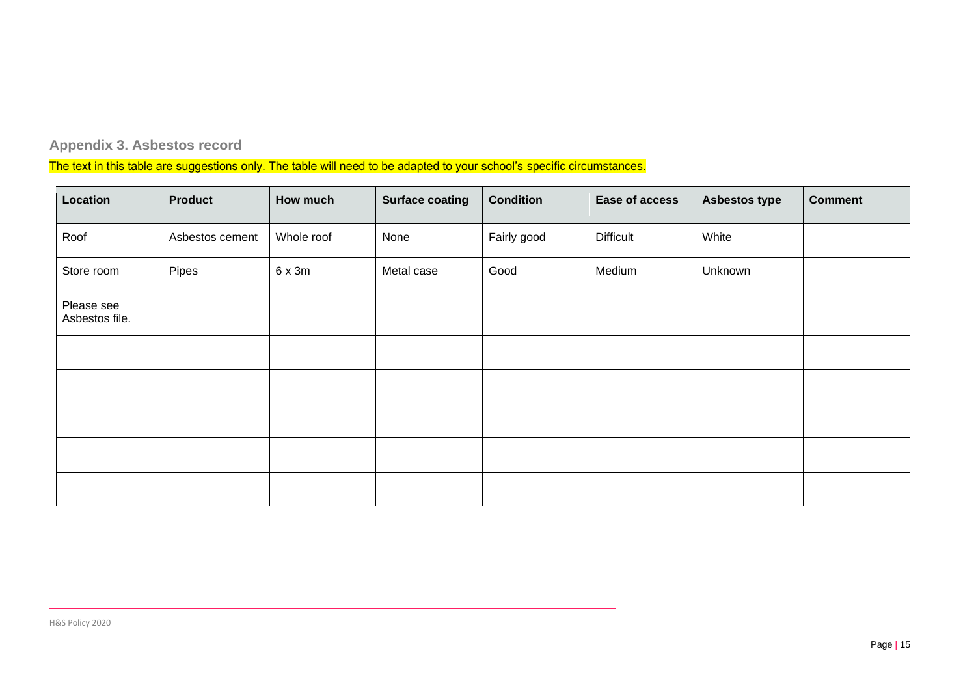# **Appendix 3. Asbestos record**

The text in this table are suggestions only. The table will need to be adapted to your school's specific circumstances.

| Location                     | <b>Product</b>  | How much   | <b>Surface coating</b> | <b>Condition</b> | Ease of access   | <b>Asbestos type</b> | <b>Comment</b> |
|------------------------------|-----------------|------------|------------------------|------------------|------------------|----------------------|----------------|
| Roof                         | Asbestos cement | Whole roof | None                   | Fairly good      | <b>Difficult</b> | White                |                |
| Store room                   | Pipes           | 6x3m       | Metal case             | Good             | Medium           | Unknown              |                |
| Please see<br>Asbestos file. |                 |            |                        |                  |                  |                      |                |
|                              |                 |            |                        |                  |                  |                      |                |
|                              |                 |            |                        |                  |                  |                      |                |
|                              |                 |            |                        |                  |                  |                      |                |
|                              |                 |            |                        |                  |                  |                      |                |
|                              |                 |            |                        |                  |                  |                      |                |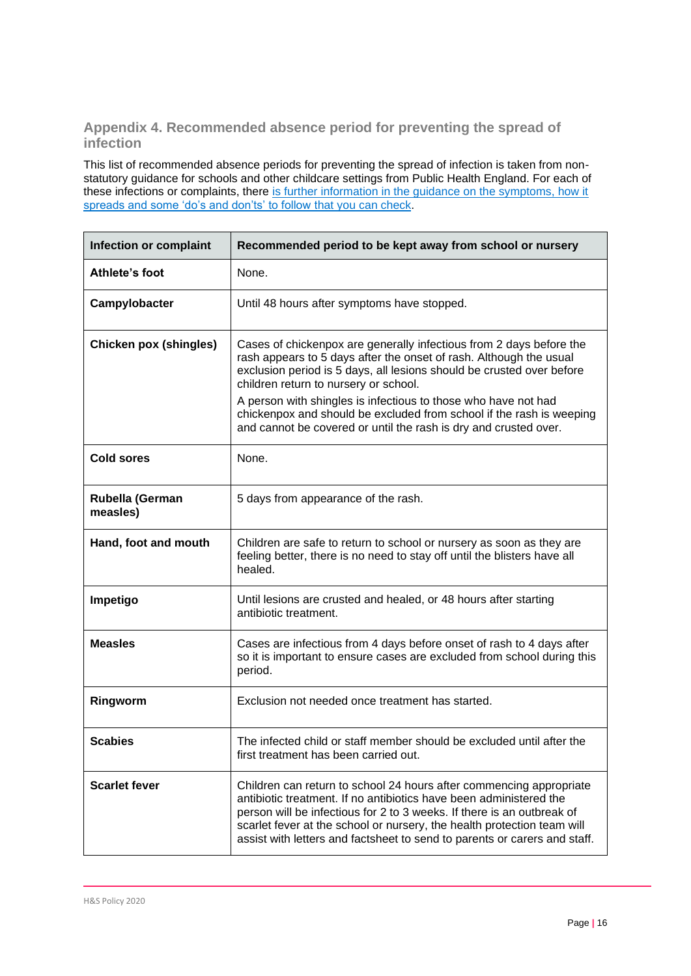## **Appendix 4. Recommended absence period for preventing the spread of infection**

This list of recommended absence periods for preventing the spread of infection is taken from nonstatutory guidance for schools and other childcare settings from Public Health England. For each of these infections or complaints, there [is further information in the guidance on the symptoms, how it](https://www.gov.uk/government/publications/health-protection-in-schools-and-other-childcare-facilities/chapter-9-managing-specific-infectious-diseases)  [spreads and some 'do's and don'ts' to follow that you can check.](https://www.gov.uk/government/publications/health-protection-in-schools-and-other-childcare-facilities/chapter-9-managing-specific-infectious-diseases)

| <b>Infection or complaint</b> | Recommended period to be kept away from school or nursery                                                                                                                                                                                                                                                                                                                   |
|-------------------------------|-----------------------------------------------------------------------------------------------------------------------------------------------------------------------------------------------------------------------------------------------------------------------------------------------------------------------------------------------------------------------------|
| Athlete's foot                | None.                                                                                                                                                                                                                                                                                                                                                                       |
| Campylobacter                 | Until 48 hours after symptoms have stopped.                                                                                                                                                                                                                                                                                                                                 |
| <b>Chicken pox (shingles)</b> | Cases of chickenpox are generally infectious from 2 days before the<br>rash appears to 5 days after the onset of rash. Although the usual<br>exclusion period is 5 days, all lesions should be crusted over before<br>children return to nursery or school.<br>A person with shingles is infectious to those who have not had                                               |
|                               | chickenpox and should be excluded from school if the rash is weeping<br>and cannot be covered or until the rash is dry and crusted over.                                                                                                                                                                                                                                    |
| <b>Cold sores</b>             | None.                                                                                                                                                                                                                                                                                                                                                                       |
| Rubella (German<br>measles)   | 5 days from appearance of the rash.                                                                                                                                                                                                                                                                                                                                         |
| Hand, foot and mouth          | Children are safe to return to school or nursery as soon as they are<br>feeling better, there is no need to stay off until the blisters have all<br>healed.                                                                                                                                                                                                                 |
| Impetigo                      | Until lesions are crusted and healed, or 48 hours after starting<br>antibiotic treatment.                                                                                                                                                                                                                                                                                   |
| <b>Measles</b>                | Cases are infectious from 4 days before onset of rash to 4 days after<br>so it is important to ensure cases are excluded from school during this<br>period.                                                                                                                                                                                                                 |
| Ringworm                      | Exclusion not needed once treatment has started.                                                                                                                                                                                                                                                                                                                            |
| <b>Scabies</b>                | The infected child or staff member should be excluded until after the<br>first treatment has been carried out.                                                                                                                                                                                                                                                              |
| <b>Scarlet fever</b>          | Children can return to school 24 hours after commencing appropriate<br>antibiotic treatment. If no antibiotics have been administered the<br>person will be infectious for 2 to 3 weeks. If there is an outbreak of<br>scarlet fever at the school or nursery, the health protection team will<br>assist with letters and factsheet to send to parents or carers and staff. |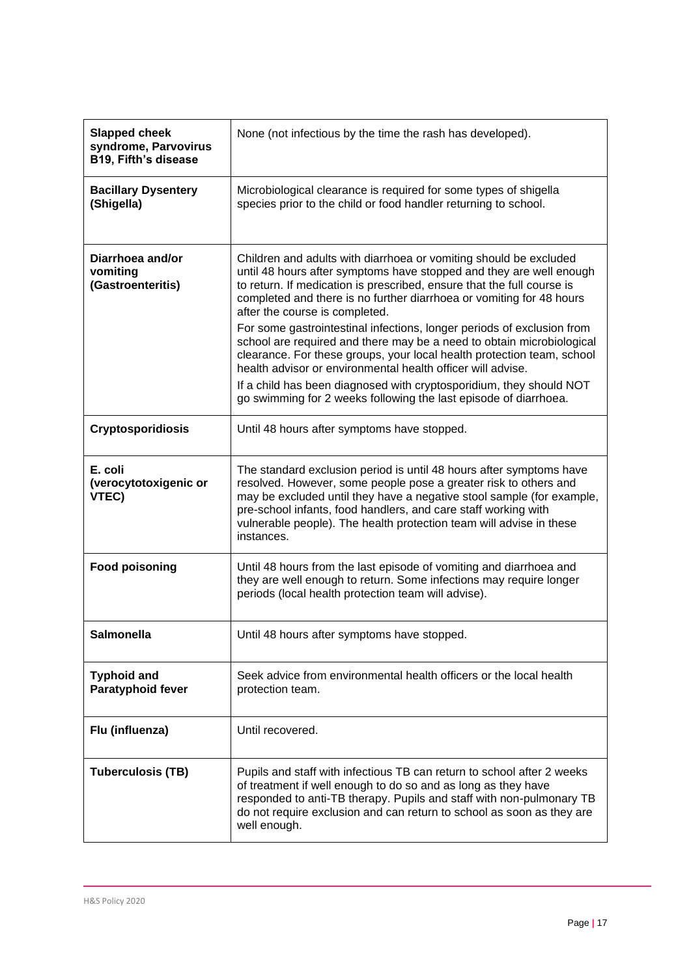| <b>Slapped cheek</b><br>syndrome, Parvovirus<br>B19, Fifth's disease | None (not infectious by the time the rash has developed).                                                                                                                                                                                                                                                                                                               |
|----------------------------------------------------------------------|-------------------------------------------------------------------------------------------------------------------------------------------------------------------------------------------------------------------------------------------------------------------------------------------------------------------------------------------------------------------------|
| <b>Bacillary Dysentery</b><br>(Shigella)                             | Microbiological clearance is required for some types of shigella<br>species prior to the child or food handler returning to school.                                                                                                                                                                                                                                     |
| Diarrhoea and/or<br>vomiting<br>(Gastroenteritis)                    | Children and adults with diarrhoea or vomiting should be excluded<br>until 48 hours after symptoms have stopped and they are well enough<br>to return. If medication is prescribed, ensure that the full course is<br>completed and there is no further diarrhoea or vomiting for 48 hours<br>after the course is completed.                                            |
|                                                                      | For some gastrointestinal infections, longer periods of exclusion from<br>school are required and there may be a need to obtain microbiological<br>clearance. For these groups, your local health protection team, school<br>health advisor or environmental health officer will advise.                                                                                |
|                                                                      | If a child has been diagnosed with cryptosporidium, they should NOT<br>go swimming for 2 weeks following the last episode of diarrhoea.                                                                                                                                                                                                                                 |
| <b>Cryptosporidiosis</b>                                             | Until 48 hours after symptoms have stopped.                                                                                                                                                                                                                                                                                                                             |
| E. coli<br>(verocytotoxigenic or<br>VTEC)                            | The standard exclusion period is until 48 hours after symptoms have<br>resolved. However, some people pose a greater risk to others and<br>may be excluded until they have a negative stool sample (for example,<br>pre-school infants, food handlers, and care staff working with<br>vulnerable people). The health protection team will advise in these<br>instances. |
| <b>Food poisoning</b>                                                | Until 48 hours from the last episode of vomiting and diarrhoea and<br>they are well enough to return. Some infections may require longer<br>periods (local health protection team will advise).                                                                                                                                                                         |
| <b>Salmonella</b>                                                    | Until 48 hours after symptoms have stopped.                                                                                                                                                                                                                                                                                                                             |
| <b>Typhoid and</b><br>Paratyphoid fever                              | Seek advice from environmental health officers or the local health<br>protection team.                                                                                                                                                                                                                                                                                  |
| Flu (influenza)                                                      | Until recovered.                                                                                                                                                                                                                                                                                                                                                        |
| <b>Tuberculosis (TB)</b>                                             | Pupils and staff with infectious TB can return to school after 2 weeks<br>of treatment if well enough to do so and as long as they have<br>responded to anti-TB therapy. Pupils and staff with non-pulmonary TB<br>do not require exclusion and can return to school as soon as they are<br>well enough.                                                                |